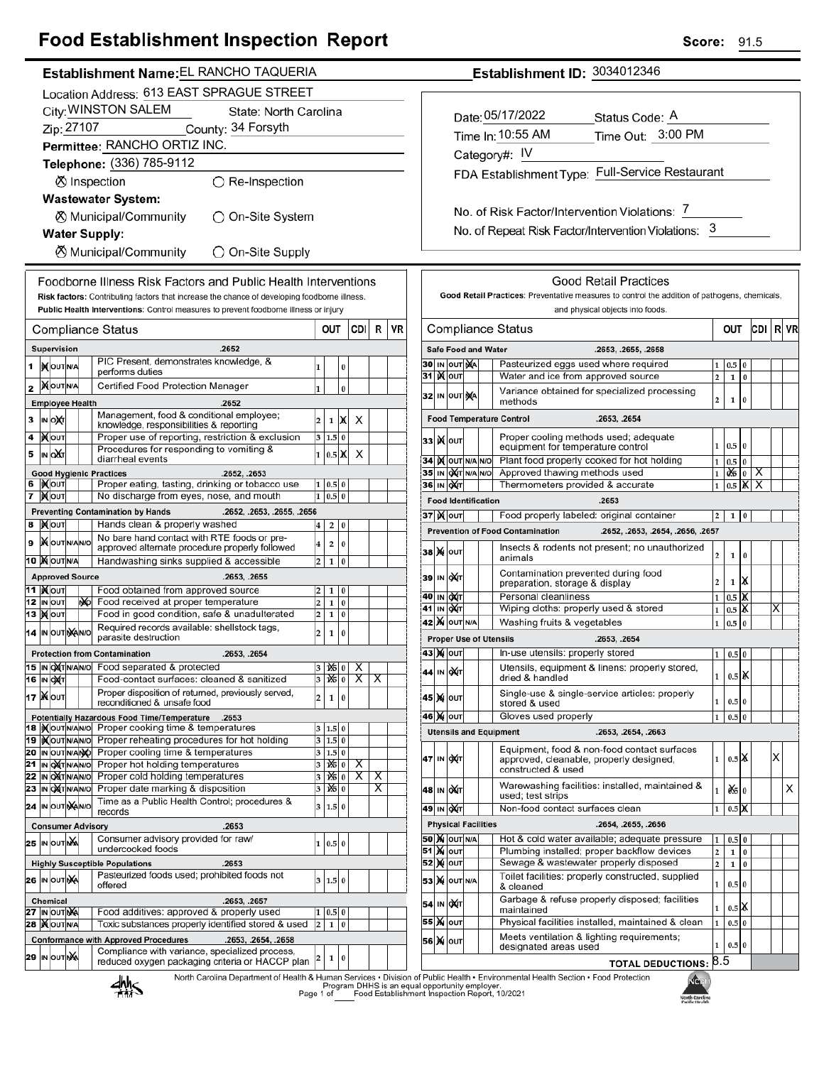## **Food Establishment Inspection Report**

| Establishment Name: EL RANCHO TAQUERIA                                 |                                              |                                                                                                  |                         |                        |           |                           |                                                    |           | Establishment ID: 3034012346 |                                              |  |                                                   |  |                                                                            |  |
|------------------------------------------------------------------------|----------------------------------------------|--------------------------------------------------------------------------------------------------|-------------------------|------------------------|-----------|---------------------------|----------------------------------------------------|-----------|------------------------------|----------------------------------------------|--|---------------------------------------------------|--|----------------------------------------------------------------------------|--|
|                                                                        | Location Address: 613 EAST SPRAGUE STREET    |                                                                                                  |                         |                        |           |                           |                                                    |           |                              |                                              |  |                                                   |  |                                                                            |  |
|                                                                        | City: WINSTON SALEM<br>State: North Carolina |                                                                                                  |                         |                        |           |                           |                                                    |           |                              |                                              |  |                                                   |  | Date: 05/17/2022<br>Status Code: A                                         |  |
|                                                                        | Zip: 27107                                   | County: 34 Forsyth                                                                               |                         |                        |           |                           |                                                    |           |                              |                                              |  |                                                   |  |                                                                            |  |
|                                                                        | Permittee: RANCHO ORTIZ INC.                 |                                                                                                  |                         |                        |           |                           |                                                    |           |                              |                                              |  |                                                   |  | Time Out: 3:00 PM<br>Time In: 10:55 AM                                     |  |
| Telephone: (336) 785-9112                                              |                                              |                                                                                                  |                         |                        |           |                           |                                                    |           |                              | Category#: IV                                |  |                                                   |  |                                                                            |  |
| ⊗ Inspection<br>$\bigcirc$ Re-Inspection                               |                                              |                                                                                                  |                         |                        |           |                           |                                                    |           |                              | FDA Establishment Type: Full-Service Restaur |  |                                                   |  |                                                                            |  |
|                                                                        |                                              | <b>Wastewater System:</b>                                                                        |                         |                        |           |                           |                                                    |           |                              |                                              |  |                                                   |  |                                                                            |  |
|                                                                        |                                              | ⊗ Municipal/Community<br>◯ On-Site System                                                        |                         |                        |           |                           |                                                    |           |                              |                                              |  |                                                   |  | No. of Risk Factor/Intervention Violations: 7                              |  |
|                                                                        | <b>Water Supply:</b>                         |                                                                                                  |                         |                        |           |                           |                                                    |           |                              |                                              |  |                                                   |  | No. of Repeat Risk Factor/Intervention Violations:                         |  |
|                                                                        |                                              |                                                                                                  |                         |                        |           |                           |                                                    |           |                              |                                              |  |                                                   |  |                                                                            |  |
|                                                                        |                                              | ⊗ Municipal/Community<br>◯ On-Site Supply                                                        |                         |                        |           |                           |                                                    |           |                              |                                              |  |                                                   |  |                                                                            |  |
|                                                                        |                                              | Foodborne Illness Risk Factors and Public Health Interventions                                   |                         |                        |           |                           |                                                    |           |                              |                                              |  |                                                   |  | <b>Good Retail Practices</b>                                               |  |
|                                                                        |                                              | Risk factors: Contributing factors that increase the chance of developing foodborne illness.     |                         |                        |           |                           |                                                    |           |                              |                                              |  |                                                   |  | Good Retail Practices: Preventative measures to control the addition of p  |  |
|                                                                        |                                              | Public Health Interventions: Control measures to prevent foodborne illness or injury             |                         |                        |           |                           |                                                    |           |                              |                                              |  |                                                   |  | and physical objects into foods.                                           |  |
|                                                                        | <b>Compliance Status</b>                     |                                                                                                  |                         | OUT                    |           | CDI                       | R                                                  | <b>VR</b> |                              |                                              |  |                                                   |  | <b>Compliance Status</b>                                                   |  |
|                                                                        | Supervision                                  | .2652                                                                                            |                         |                        |           |                           |                                                    |           |                              |                                              |  |                                                   |  | <b>Safe Food and Water</b><br>.2653, .2655, .2658                          |  |
|                                                                        | 1  X OUTNA                                   | PIC Present, demonstrates knowledge, &                                                           |                         |                        | $\pmb{0}$ |                           |                                                    |           |                              |                                              |  | <b>30 IN OUT NA</b>                               |  | Pasteurized eggs used where required                                       |  |
|                                                                        |                                              | performs duties                                                                                  | 1                       |                        |           |                           |                                                    |           |                              | 31 MOUT                                      |  |                                                   |  | Water and ice from approved source                                         |  |
| 2                                                                      | <b>MOUTNA</b>                                | Certified Food Protection Manager                                                                | 1                       |                        | $\bf{0}$  |                           |                                                    |           |                              |                                              |  | 32 IN OUT NA                                      |  | Variance obtained for specialized processing                               |  |
|                                                                        | <b>Employee Health</b>                       | .2652<br>Management, food & conditional employee;                                                |                         |                        |           |                           |                                                    |           |                              |                                              |  |                                                   |  | methods                                                                    |  |
| 3                                                                      | IN OUT                                       | knowledge, responsibilities & reporting                                                          | $\overline{2}$          | $\mathbf{1}$           | X         | Х                         |                                                    |           |                              |                                              |  |                                                   |  | <b>Food Temperature Control</b><br>.2653, .2654                            |  |
| 4                                                                      | <b> </b> Молт                                | Proper use of reporting, restriction & exclusion<br>Procedures for responding to vomiting &      |                         | 3   1.5   0            |           |                           |                                                    |           |                              | зз∣)∢∣о∪т∣                                   |  |                                                   |  | Proper cooling methods used; adequate<br>equipment for temperature control |  |
| 5                                                                      | IN OXT                                       | diarrheal events                                                                                 |                         | 1 0.5 X                |           | X                         |                                                    |           |                              |                                              |  | 34 IX OUT N/A N/O                                 |  | Plant food properly cooked for hot holding                                 |  |
|                                                                        | <b>Good Hygienic Practices</b>               | .2652, .2653                                                                                     |                         |                        |           |                           |                                                    |           |                              |                                              |  | 35 IN OXT N/A N/O                                 |  | Approved thawing methods used                                              |  |
| 7                                                                      | 6  Kout<br><b>X</b> out                      | Proper eating, tasting, drinking or tobacco use<br>No discharge from eyes, nose, and mouth       |                         | 1   0.5   0<br>1 0.5 0 |           |                           |                                                    |           |                              | 36 IN OXT                                    |  |                                                   |  | Thermometers provided & accurate                                           |  |
| <b>Preventing Contamination by Hands</b><br>.2652, .2653, .2655, .2656 |                                              |                                                                                                  |                         |                        |           |                           |                                                    |           |                              | <b>Food Identification</b>                   |  | .2653                                             |  |                                                                            |  |
|                                                                        | 8 Mour                                       | Hands clean & properly washed                                                                    | $\bf{4}$                | 2 0                    |           |                           |                                                    |           |                              | <b>37 ) О</b>                                |  |                                                   |  | Food properly labeled: original container                                  |  |
| 9                                                                      | <b>XOUTNANO</b>                              | No bare hand contact with RTE foods or pre-                                                      | $\overline{\mathbf{4}}$ | $\overline{2}$         | 0         |                           |                                                    |           |                              |                                              |  |                                                   |  | <b>Prevention of Food Contamination</b><br>.2652, .2653, .2654, .2656, .2  |  |
|                                                                        | 10 XOUTNA                                    | approved alternate procedure properly followed<br>Handwashing sinks supplied & accessible        | $\overline{2}$          | 1 0                    |           |                           |                                                    |           |                              | <b>38 М</b> ОUТ                              |  |                                                   |  | Insects & rodents not present; no unauthorized<br>animals                  |  |
|                                                                        | <b>Approved Source</b>                       | .2653, .2655                                                                                     |                         |                        |           |                           |                                                    |           |                              | 39 IN OXT                                    |  |                                                   |  | Contamination prevented during food                                        |  |
|                                                                        | <b>11  ) (</b> оит                           | Food obtained from approved source                                                               | 2                       | 1 0                    |           |                           |                                                    |           |                              |                                              |  |                                                   |  | preparation, storage & display<br>Personal cleanliness                     |  |
|                                                                        | ğ<br><b>12 IN OUT</b>                        | Food received at proper temperature                                                              | $\overline{\mathbf{c}}$ | 1 0                    |           |                           |                                                    |           |                              | 40  ін ∣ох(т<br>41 IN OXT                    |  |                                                   |  | Wiping cloths: properly used & stored                                      |  |
|                                                                        | 13   Молт                                    | Food in good condition, safe & unadulterated                                                     | 2                       | 1 0                    |           |                           |                                                    |           |                              |                                              |  | <b>42 X</b> OUT N/A                               |  | Washing fruits & vegetables                                                |  |
|                                                                        | 14 IN OUT NAINO                              | Required records available: shellstock tags,<br>parasite destruction                             | 2                       | $\mathbf{1}$           | $\pmb{0}$ |                           |                                                    |           |                              |                                              |  |                                                   |  | <b>Proper Use of Utensils</b><br>.2653, .2654                              |  |
|                                                                        |                                              | <b>Protection from Contamination</b><br>.2653, .2654                                             |                         |                        |           |                           |                                                    |           |                              | <b>43 MOUT</b>                               |  |                                                   |  | In-use utensils: properly stored                                           |  |
|                                                                        |                                              | 15 IN OXT N/AN/O Food separated & protected                                                      | 3                       |                        |           | 1X6   0   X               |                                                    |           |                              | 44 IN OXT                                    |  |                                                   |  | Utensils, equipment & linens: properly stored,                             |  |
|                                                                        | 16 IN OXT                                    | Food-contact surfaces: cleaned & sanitized<br>Proper disposition of returned, previously served, | 3                       | 1250                   |           | $\overline{\mathsf{x}}$   | $\overline{\mathsf{x}}$                            |           |                              |                                              |  |                                                   |  | dried & handled<br>Single-use & single-service articles: properly          |  |
|                                                                        | 17   Nout                                    | reconditioned & unsafe food                                                                      | 2                       | 1 0                    |           |                           |                                                    |           |                              | 45 X OUT                                     |  |                                                   |  | stored & used                                                              |  |
|                                                                        |                                              | Potentially Hazardous Food Time/Temperature<br>.2653                                             |                         |                        |           |                           |                                                    |           |                              | 46 X OUT                                     |  |                                                   |  | Gloves used properly                                                       |  |
|                                                                        | 19   OUTNANO                                 | 18   Nout NANO Proper cooking time & temperatures<br>Proper reheating procedures for hot holding |                         | 3   1.5   0<br>3 1.5 0 |           |                           |                                                    |           |                              |                                              |  |                                                   |  | <b>Utensils and Equipment</b><br>.2653, .2654, .2663                       |  |
|                                                                        | 20 IN OUT N/ANO                              | Proper cooling time & temperatures                                                               |                         | 3 1.5 0                |           |                           |                                                    |           |                              |                                              |  |                                                   |  | Equipment, food & non-food contact surfaces                                |  |
|                                                                        | 21 IN OXTNANO                                | Proper hot holding temperatures                                                                  | 3                       |                        |           | $ \mathbf{x} $ $\sqrt{2}$ |                                                    |           |                              | 47 IN OXT                                    |  |                                                   |  | approved, cleanable, properly designed,<br>constructed & used              |  |
| 22                                                                     | IN OXT N/AN/O<br>23 IN OXT N/AN/O            | Proper cold holding temperatures<br>Proper date marking & disposition                            | 3<br>3                  | 1% 0<br>1460           |           | $\overline{X}$            | $\overline{\mathsf{x}}$<br>$\overline{\mathsf{x}}$ |           |                              | 48∣ ін ∣о)(т                                 |  |                                                   |  | Warewashing facilities: installed, maintained &                            |  |
|                                                                        | 24 IN OUT MANO                               | Time as a Public Health Control; procedures &                                                    | 3                       | 1.5 0                  |           |                           |                                                    |           |                              |                                              |  |                                                   |  | used; test strips                                                          |  |
|                                                                        |                                              | records                                                                                          |                         |                        |           |                           |                                                    |           |                              | 49∣ ін ∣о)(т∣                                |  |                                                   |  | Non-food contact surfaces clean                                            |  |
|                                                                        | <b>Consumer Advisory</b>                     | .2653<br>Consumer advisory provided for raw/                                                     |                         |                        |           |                           |                                                    |           |                              |                                              |  | <b>Physical Facilities</b><br><b>50 X</b> OUT N/A |  | .2654, .2655, .2656<br>Hot & cold water available; adequate pressure       |  |
|                                                                        | 25 IN OUT NA                                 | undercooked foods                                                                                | $\mathbf{1}$            | 0.5 0                  |           |                           |                                                    |           |                              | 51 X олт                                     |  |                                                   |  | Plumbing installed; proper backflow devices                                |  |
|                                                                        |                                              | <b>Highly Susceptible Populations</b><br>.2653                                                   |                         |                        |           |                           |                                                    |           |                              | <b>52 MOUT</b>                               |  |                                                   |  | Sewage & wastewater properly disposed                                      |  |
|                                                                        | 26 IN OUT NA                                 | Pasteurized foods used; prohibited foods not<br>offered                                          |                         | 3   1.5   0            |           |                           |                                                    |           |                              |                                              |  | <b>53 X</b> OUT N/A                               |  | Toilet facilities: properly constructed, supplied<br>& cleaned             |  |
|                                                                        | Chemical                                     | .2653, .2657                                                                                     |                         |                        |           |                           |                                                    |           |                              | 54 IN OXT                                    |  |                                                   |  | Garbage & refuse properly disposed; facilities                             |  |
|                                                                        | <b>27 IN OUT NA</b>                          | Food additives: approved & properly used                                                         |                         | 1   0.5   0            |           |                           |                                                    |           |                              |                                              |  |                                                   |  | maintained                                                                 |  |
|                                                                        | <b>28  ) OUTNA</b>                           | Toxic substances properly identified stored & used                                               | $\overline{\mathbf{c}}$ | 1 0                    |           |                           |                                                    |           |                              | 55 <b>M</b> олт                              |  |                                                   |  | Physical facilities installed, maintained & clean                          |  |

 $\vert$ 2  $\mathbf 1$ 0 **Score: 91.5** 

|                                        |                               |     |     | Date: 05/17/2022<br>Status Code: A                                                            |                              |                    |                      |        |    |    |
|----------------------------------------|-------------------------------|-----|-----|-----------------------------------------------------------------------------------------------|------------------------------|--------------------|----------------------|--------|----|----|
|                                        |                               |     |     | Time In: 10:55 AM<br>Time Out: 3:00 PM                                                        |                              |                    |                      |        |    |    |
|                                        |                               |     |     | Category#: IV                                                                                 |                              |                    |                      |        |    |    |
|                                        |                               |     |     | FDA Establishment Type: Full-Service Restaurant                                               |                              |                    |                      |        |    |    |
|                                        |                               |     |     |                                                                                               |                              |                    |                      |        |    |    |
|                                        |                               |     |     |                                                                                               |                              |                    |                      |        |    |    |
|                                        |                               |     |     | No. of Risk Factor/Intervention Violations: 7                                                 |                              |                    |                      |        |    |    |
|                                        |                               |     |     | No. of Repeat Risk Factor/Intervention Violations:                                            | 3                            |                    |                      |        |    |    |
|                                        |                               |     |     |                                                                                               |                              |                    |                      |        |    |    |
|                                        |                               |     |     |                                                                                               |                              |                    |                      |        |    |    |
|                                        |                               |     |     | <b>Good Retail Practices</b>                                                                  |                              |                    |                      |        |    |    |
|                                        |                               |     |     | Good Retail Practices: Preventative measures to control the addition of pathogens, chemicals, |                              |                    |                      |        |    |    |
|                                        |                               |     |     | and physical objects into foods.                                                              |                              |                    |                      |        |    |    |
|                                        |                               |     |     | ompliance Status                                                                              |                              | OUT                |                      | CDI    | RI | VR |
|                                        |                               |     |     |                                                                                               |                              |                    |                      |        |    |    |
|                                        | fe Food and Water             |     |     | .2653, .2655, .2658                                                                           |                              |                    |                      |        |    |    |
|                                        | IN OUT NA<br>і) <b>(</b> ∣оυт |     |     | Pasteurized eggs used where required<br>Water and ice from approved source                    | 1<br>$\overline{\mathbf{c}}$ | 0.5<br>1           | $\bf{0}$<br>$\bf{0}$ |        |    |    |
|                                        |                               |     |     | Variance obtained for specialized processing                                                  |                              |                    |                      |        |    |    |
|                                        | IN OUT NA                     |     |     | methods                                                                                       | $\overline{2}$               | 1                  | 0                    |        |    |    |
| od Temperature Control<br>.2653, .2654 |                               |     |     |                                                                                               |                              |                    |                      |        |    |    |
|                                        | )X∣ouт                        |     |     | Proper cooling methods used; adequate                                                         |                              |                    |                      |        |    |    |
|                                        |                               |     |     | equipment for temperature control                                                             | 1                            | 0.5                | $\bf{0}$             |        |    |    |
|                                        | <b>KOUT NANO</b>              |     |     | Plant food properly cooked for hot holding                                                    | 1                            | 0.5                | 0                    |        |    |    |
|                                        | IN OUT<br>IN ONT              | N/A | N/O | Approved thawing methods used<br>Thermometers provided & accurate                             | 1<br>1                       | ÒX5<br>0.5         | 0<br>α               | х<br>Χ |    |    |
|                                        | od Identification             |     |     | .2653                                                                                         |                              |                    |                      |        |    |    |
|                                        | і) <b>(</b> ∣оυт              |     |     | Food properly labeled: original container                                                     | 2                            | 1                  | 0                    |        |    |    |
|                                        |                               |     |     | evention of Food Contamination<br>.2652, .2653, .2654, .2656, .2657                           |                              |                    |                      |        |    |    |
|                                        |                               |     |     | Insects & rodents not present; no unauthorized                                                |                              |                    |                      |        |    |    |
|                                        | )x(∣о∪т                       |     |     | animals                                                                                       | 2                            | 1                  | 0                    |        |    |    |
|                                        | IN OXT                        |     |     | Contamination prevented during food<br>preparation, storage & display                         | 2                            | 1                  | ж                    |        |    |    |
|                                        | IN OUT                        |     |     | Personal cleanliness                                                                          | $\mathbf{1}$                 | 0.5                | Х                    |        |    |    |
|                                        | IN OAT                        |     |     | Wiping cloths: properly used & stored                                                         | 1                            | 0.5                | Ж                    |        | Χ  |    |
|                                        | <b>X</b> OUT N/A              |     |     | Washing fruits & vegetables                                                                   | 1                            | 0.5                | 0                    |        |    |    |
|                                        |                               |     |     | oper Use of Utensils<br>.2653, .2654                                                          |                              |                    |                      |        |    |    |
|                                        | )x(∣о∪т                       |     |     | In-use utensils: properly stored                                                              | 1                            | 0.5 0              |                      |        |    |    |
|                                        | IN OUT                        |     |     | Utensils, equipment & linens: properly stored,<br>dried & handled                             | 1                            | $0.5$ $\mathsf{K}$ |                      |        |    |    |
|                                        | <b>X</b> OUT                  |     |     | Single-use & single-service articles: properly<br>stored & used                               | 1                            | 0.5                | $\bf{0}$             |        |    |    |
|                                        | <b>MOUT</b>                   |     |     | Gloves used properly                                                                          | $\mathbf{1}$                 | 0.5                | $\bf{0}$             |        |    |    |
|                                        |                               |     |     | ensils and Equipment<br>.2653, .2654, .2663                                                   |                              |                    |                      |        |    |    |

**TOTAL DEDUCTIONS: 8.5** 

designated areas used

Meets ventilation & lighting requirements;



**Conformance with Approved Procedures** 

**29 IN OUT NA** 

Compliance with variance, specialized process,

reduced oxygen packaging criteria or HACCP plan

.2653, .2654, .2658

56 X OUT

ЧG North Carolin<br>Rubbe Month  $0.5$  X

 $\partial\mathbf{\acute{s}}$  0

 $1\quad 0.5\ 0$ 

 $\begin{array}{|c|c|c|}\hline 2&1&0 \\\hline \end{array}$ 

 $2 \quad 1 \quad 0$ 

 $\mathbf{1}$  $0.5$ 

 $\mathbf{1}$  $0.5|0$ 

 $1 \mid 0.5$  $\overline{\mathbf{0}}$ 

 $0.5|0$  $\mathbf 1$ 

1X

 $\mathbf 1$ 

 $\mathbf 1$  $1$  0.5  $\times$  Ιx

 $\mathsf X$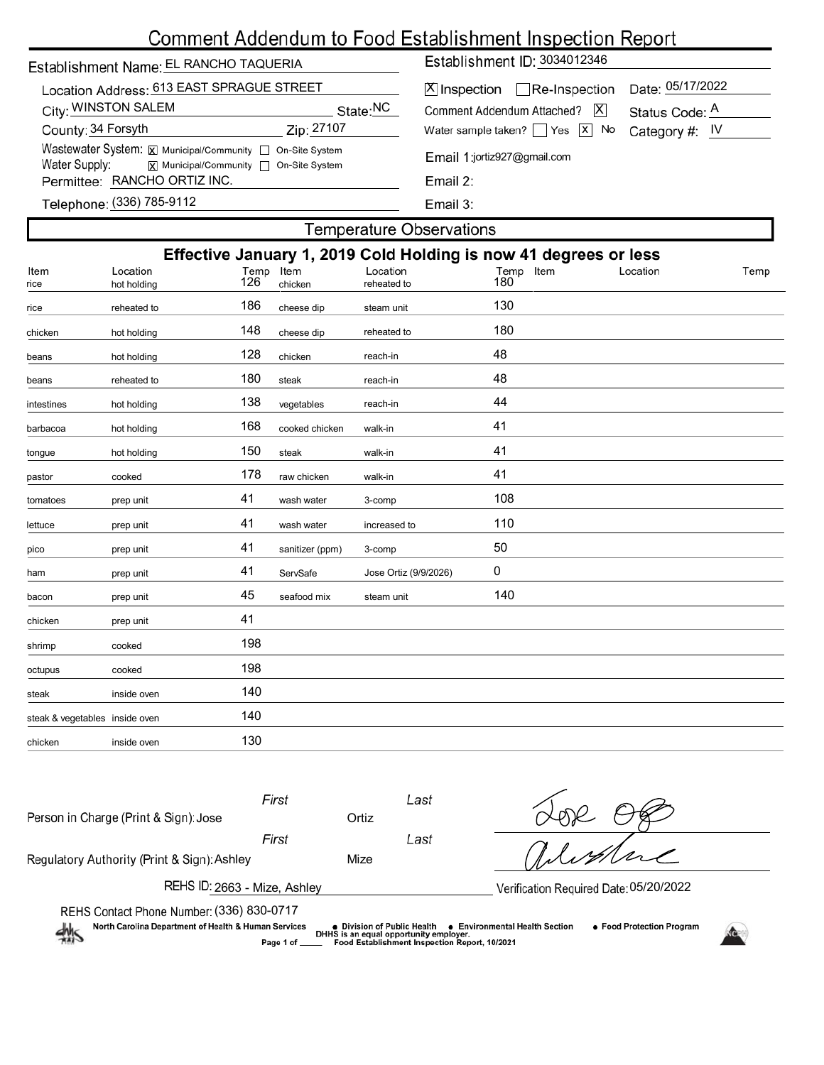# Comment Addendum to Food Establishment Inspection Report

| Establishment Name: EL RANCHO TAQUERIA                                                                                                                      | Establishment  |                                      |
|-------------------------------------------------------------------------------------------------------------------------------------------------------------|----------------|--------------------------------------|
| Location Address: 613 EAST SPRAGUE STREET                                                                                                                   | $X$ Inspection |                                      |
| City: WINSTON SALEM                                                                                                                                         | State:NC       | Comment Addend                       |
| County: 34 Forsyth                                                                                                                                          | Zip: 27107     | Water sample take                    |
| Wastewater System: X Municipal/Community   On-Site System<br>Water Supply:<br>$\boxed{\mathbf{x}}$ Municipal/Community $\boxed{\phantom{a}}$ On-Site System |                | Email 1:jortiz927                    |
| Permittee: RANCHO ORTIZ INC.                                                                                                                                |                | Email 2:                             |
| $T_{\rm eff}$ = $\sim$ $\sim$ (226) 705 0449                                                                                                                |                | $\Gamma$ $\sim$ $\sim$ $\sim$ $\sim$ |

Establishment ID: 3034012346

| X Inspection □ Re-Inspection Date: 05/17/2022           |                |
|---------------------------------------------------------|----------------|
| Comment Addendum Attached? X                            | Status Code: A |
| Vater sample taken? $\Box$ Yes $\Box$ No Category #: IV |                |
| Email 1:jortiz927@gmail.com                             |                |

Email 3:

| Telephone: (336) 785-9112 |  |  |  |
|---------------------------|--|--|--|
|---------------------------|--|--|--|

### **Temperature Observations**

| Effective January 1, 2019 Cold Holding is now 41 degrees or less |                         |             |                 |                         |                     |          |      |  |
|------------------------------------------------------------------|-------------------------|-------------|-----------------|-------------------------|---------------------|----------|------|--|
| Item<br>rice                                                     | Location<br>hot holding | Temp<br>126 | Item<br>chicken | Location<br>reheated to | Temp<br>Item<br>180 | Location | Temp |  |
| rice                                                             | reheated to             | 186         | cheese dip      | steam unit              | 130                 |          |      |  |
| chicken                                                          | hot holding             | 148         | cheese dip      | reheated to             | 180                 |          |      |  |
| beans                                                            | hot holding             | 128         | chicken         | reach-in                | 48                  |          |      |  |
| beans                                                            | reheated to             | 180         | steak           | reach-in                | 48                  |          |      |  |
| intestines                                                       | hot holding             | 138         | vegetables      | reach-in                | 44                  |          |      |  |
| barbacoa                                                         | hot holding             | 168         | cooked chicken  | walk-in                 | 41                  |          |      |  |
| tongue                                                           | hot holding             | 150         | steak           | walk-in                 | 41                  |          |      |  |
| pastor                                                           | cooked                  | 178         | raw chicken     | walk-in                 | 41                  |          |      |  |
| tomatoes                                                         | prep unit               | 41          | wash water      | 3-comp                  | 108                 |          |      |  |
| lettuce                                                          | prep unit               | 41          | wash water      | increased to            | 110                 |          |      |  |
| pico                                                             | prep unit               | 41          | sanitizer (ppm) | 3-comp                  | 50                  |          |      |  |
| ham                                                              | prep unit               | 41          | ServSafe        | Jose Ortiz (9/9/2026)   | 0                   |          |      |  |
| bacon                                                            | prep unit               | 45          | seafood mix     | steam unit              | 140                 |          |      |  |
| chicken                                                          | prep unit               | 41          |                 |                         |                     |          |      |  |
| shrimp                                                           | cooked                  | 198         |                 |                         |                     |          |      |  |
| octupus                                                          | cooked                  | 198         |                 |                         |                     |          |      |  |
| steak                                                            | inside oven             | 140         |                 |                         |                     |          |      |  |
| steak & vegetables inside oven                                   |                         | 140         |                 |                         |                     |          |      |  |
| chicken                                                          | inside oven             | 130         |                 |                         |                     |          |      |  |
|                                                                  |                         |             |                 |                         |                     |          |      |  |

| Person in Charge (Print & Sign): Jose       | First                                  | Ortiz | Last |         |  |  |  |  |
|---------------------------------------------|----------------------------------------|-------|------|---------|--|--|--|--|
|                                             | First                                  |       | Last |         |  |  |  |  |
| Regulatory Authority (Print & Sign): Ashley |                                        | Mize  |      | alistra |  |  |  |  |
| REHS ID: 2663 - Mize, Ashley                | Verification Required Date: 05/20/2022 |       |      |         |  |  |  |  |
| REHS Contact Phone Number (336) 830-0717    |                                        |       |      |         |  |  |  |  |

North Carolina Department of Health & Human Services

 $\frac{dh}{dh}$ 

(336) 830-0717 Page 1 of



● Food Protection Program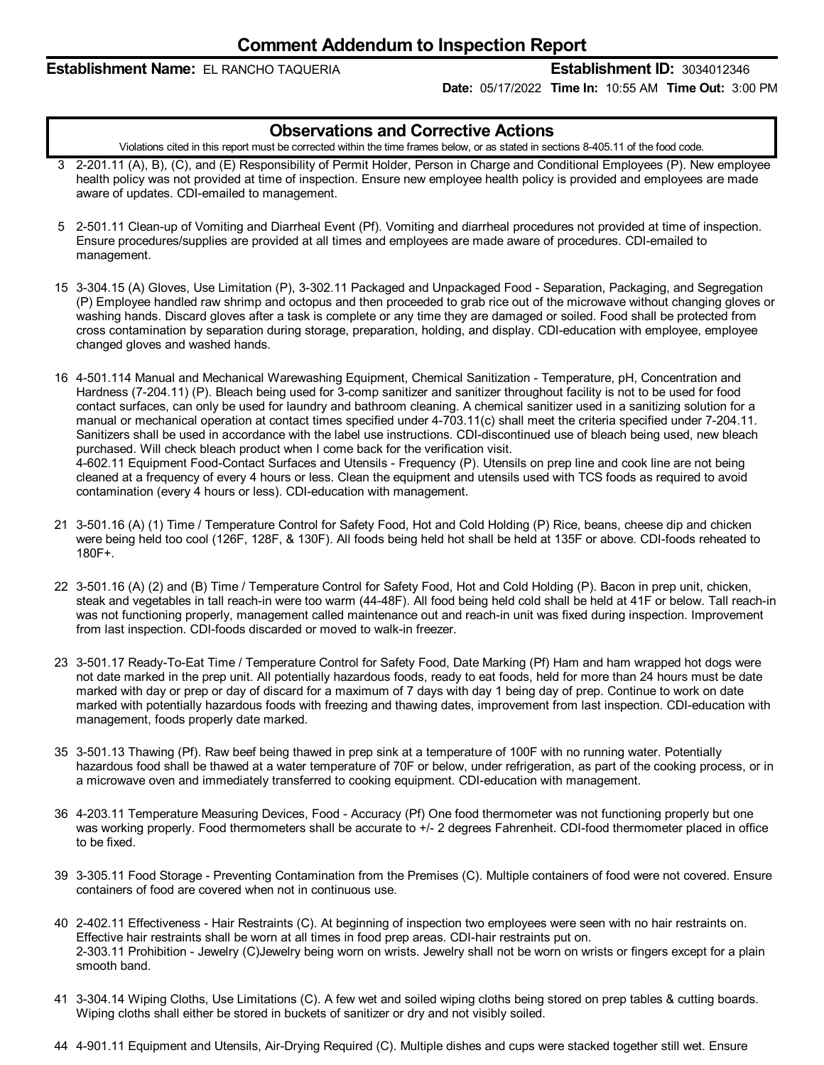#### **Establishment Name:** EL RANCHO TAQUERIA **Establishment ID:** 3034012346

**Date:** 05/17/2022 **Time In:** 10:55 AM **Time Out:** 3:00 PM

#### **Observations and Corrective Actions**

Violations cited in this report must be corrected within the time frames below, or as stated in sections 8-405.11 of the food code.

- 3 2-201.11 (A), B), (C), and (E) Responsibility of Permit Holder, Person in Charge and Conditional Employees (P). New employee health policy was not provided at time of inspection. Ensure new employee health policy is provided and employees are made aware of updates. CDI-emailed to management.
- 5 2-501.11 Clean-up of Vomiting and Diarrheal Event (Pf). Vomiting and diarrheal procedures not provided at time of inspection. Ensure procedures/supplies are provided at all times and employees are made aware of procedures. CDI-emailed to management.
- 15 3-304.15 (A) Gloves, Use Limitation (P), 3-302.11 Packaged and Unpackaged Food -Separation, Packaging, and Segregation (P) Employee handled raw shrimp and octopus and then proceeded to grab rice out of the microwave without changing gloves or washing hands. Discard gloves after a task is complete or any time they are damaged or soiled. Food shall be protected from cross contamination by separation during storage, preparation, holding, and display. CDI-education with employee, employee changed gloves and washed hands.
- 16 4-501.114 Manual and Mechanical Warewashing Equipment, Chemical Sanitization Temperature, pH, Concentration and Hardness (7-204.11) (P). Bleach being used for 3-comp sanitizer and sanitizer throughout facility is not to be used for food contact surfaces, can only be used for laundry and bathroom cleaning. A chemical sanitizer used in a sanitizing solution for a manual or mechanical operation at contact times specified under 4-703.11(c) shall meet the criteria specified under 7-204.11. Sanitizers shall be used in accordance with the label use instructions. CDI-discontinued use of bleach being used, new bleach purchased. Will check bleach product when I come back for the verification visit. 4-602.11 Equipment Food-Contact Surfaces and Utensils -Frequency (P). Utensils on prep line and cook line are not being cleaned at a frequency of every 4 hours or less. Clean the equipment and utensils used with TCS foods as required to avoid contamination (every 4 hours or less). CDI-education with management.
- 21 3-501.16 (A) (1) Time / Temperature Control for Safety Food, Hot and Cold Holding (P) Rice, beans, cheese dip and chicken were being held too cool (126F, 128F, & 130F). All foods being held hot shall be held at 135F or above. CDI-foods reheated to 180F+.
- 22 3-501.16 (A) (2) and (B) Time / Temperature Control for Safety Food, Hot and Cold Holding (P). Bacon in prep unit, chicken, steak and vegetables in tall reach-in were too warm (44-48F). All food being held cold shall be held at 41F or below. Tall reach-in was not functioning properly, management called maintenance out and reach-in unit was fixed during inspection. Improvement from last inspection. CDI-foods discarded or moved to walk-in freezer.
- 23 3-501.17 Ready-To-Eat Time / Temperature Control for Safety Food, Date Marking (Pf) Ham and ham wrapped hot dogs were not date marked in the prep unit. All potentially hazardous foods, ready to eat foods, held for more than 24 hours must be date marked with day or prep or day of discard for a maximum of 7 days with day 1 being day of prep. Continue to work on date marked with potentially hazardous foods with freezing and thawing dates, improvement from last inspection. CDI-education with management, foods properly date marked.
- 35 3-501.13 Thawing (Pf). Raw beef being thawed in prep sink at a temperature of 100F with no running water. Potentially hazardous food shall be thawed at a water temperature of 70F or below, under refrigeration, as part of the cooking process, or in a microwave oven and immediately transferred to cooking equipment. CDI-education with management.
- 36 4-203.11 Temperature Measuring Devices, Food Accuracy (Pf) One food thermometer was not functioning properly but one was working properly. Food thermometers shall be accurate to +/- 2 degrees Fahrenheit. CDI-food thermometer placed in office to be fixed.
- 39 3-305.11 Food Storage Preventing Contamination from the Premises (C). Multiple containers of food were not covered. Ensure containers of food are covered when not in continuous use.
- 40 2-402.11 Effectiveness -Hair Restraints (C). At beginning of inspection two employees were seen with no hair restraints on. Effective hair restraints shall be worn at all times in food prep areas. CDI-hair restraints put on. 2-303.11 Prohibition - Jewelry (C)Jewelry being worn on wrists. Jewelry shall not be worn on wrists or fingers except for a plain smooth band.
- 41 3-304.14 Wiping Cloths, Use Limitations (C). A few wet and soiled wiping cloths being stored on prep tables & cutting boards. Wiping cloths shall either be stored in buckets of sanitizer or dry and not visibly soiled.
- 44 4-901.11 Equipment and Utensils, Air-Drying Required (C). Multiple dishes and cups were stacked together still wet. Ensure